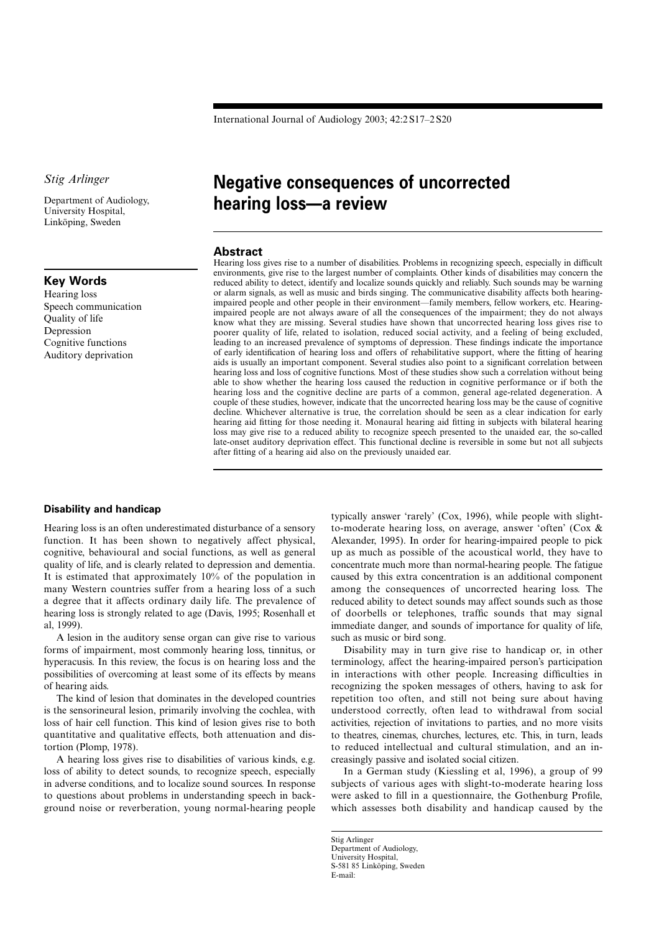International Journal of Audiology 2003; 42:2 S17–2 S20

*Stig Arlinger*

Department of Audiology, University Hospital, Linköping, Sweden

## **Key Words**

Hearing loss Speech communication Quality of life Depression Cognitive functions Auditory deprivation

# **Negative consequences of uncorrected hearing loss––a review**

#### **Abstract**

Hearing loss gives rise to a number of disabilities. Problems in recognizing speech, especially in difficult environments, give rise to the largest number of complaints. Other kinds of disabilities may concern the reduced ability to detect, identify and localize sounds quickly and reliably. Such sounds may be warning or alarm signals, as well as music and birds singing. The communicative disability affects both hearingimpaired people and other people in their environment—family members, fellow workers, etc. Hearingimpaired people are not always aware of all the consequences of the impairment; they do not always know what they are missing. Several studies have shown that uncorrected hearing loss gives rise to poorer quality of life, related to isolation, reduced social activity, and a feeling of being excluded, leading to an increased prevalence of symptoms of depression. These findings indicate the importance of early identification of hearing loss and offers of rehabilitative support, where the fitting of hearing aids is usually an important component. Several studies also point to a significant correlation between hearing loss and loss of cognitive functions. Most of these studies show such a correlation without being able to show whether the hearing loss caused the reduction in cognitive performance or if both the hearing loss and the cognitive decline are parts of a common, general age-related degeneration. A couple of these studies, however, indicate that the uncorrected hearing loss may be the cause of cognitive decline. Whichever alternative is true, the correlation should be seen as a clear indication for early hearing aid fitting for those needing it. Monaural hearing aid fitting in subjects with bilateral hearing loss may give rise to a reduced ability to recognize speech presented to the unaided ear, the so-called late-onset auditory deprivation effect. This functional decline is reversible in some but not all subjects after fitting of a hearing aid also on the previously unaided ear.

#### **Disability and handicap**

Hearing loss is an often underestimated disturbance of a sensory function. It has been shown to negatively affect physical, cognitive, behavioural and social functions, as well as general quality of life, and is clearly related to depression and dementia. It is estimated that approximately 10% of the population in many Western countries suffer from a hearing loss of a such a degree that it affects ordinary daily life. The prevalence of hearing loss is strongly related to age (Davis, 1995; Rosenhall et al, 1999).

A lesion in the auditory sense organ can give rise to various forms of impairment, most commonly hearing loss, tinnitus, or hyperacusis. In this review, the focus is on hearing loss and the possibilities of overcoming at least some of its effects by means of hearing aids.

The kind of lesion that dominates in the developed countries is the sensorineural lesion, primarily involving the cochlea, with loss of hair cell function. This kind of lesion gives rise to both quantitative and qualitative effects, both attenuation and distortion (Plomp, 1978).

A hearing loss gives rise to disabilities of various kinds, e.g. loss of ability to detect sounds, to recognize speech, especially in adverse conditions, and to localize sound sources. In response to questions about problems in understanding speech in background noise or reverberation, young normal-hearing people

typically answer 'rarely' (Cox, 1996), while people with slightto-moderate hearing loss, on average, answer 'often' (Cox & Alexander, 1995). In order for hearing-impaired people to pick up as much as possible of the acoustical world, they have to concentrate much more than normal-hearing people. The fatigue caused by this extra concentration is an additional component among the consequences of uncorrected hearing loss. The reduced ability to detect sounds may affect sounds such as those of doorbells or telephones, traffic sounds that may signal immediate danger, and sounds of importance for quality of life, such as music or bird song.

Disability may in turn give rise to handicap or, in other terminology, affect the hearing-impaired person's participation in interactions with other people. Increasing difficulties in recognizing the spoken messages of others, having to ask for repetition too often, and still not being sure about having understood correctly, often lead to withdrawal from social activities, rejection of invitations to parties, and no more visits to theatres, cinemas, churches, lectures, etc. This, in turn, leads to reduced intellectual and cultural stimulation, and an increasingly passive and isolated social citizen.

In a German study (Kiessling et al, 1996), a group of 99 subjects of various ages with slight-to-moderate hearing loss were asked to fill in a questionnaire, the Gothenburg Profile, which assesses both disability and handicap caused by the

Stig Arlinger Department of Audiology, University Hospital, S-581 85 Linköping, Sweden E-mail: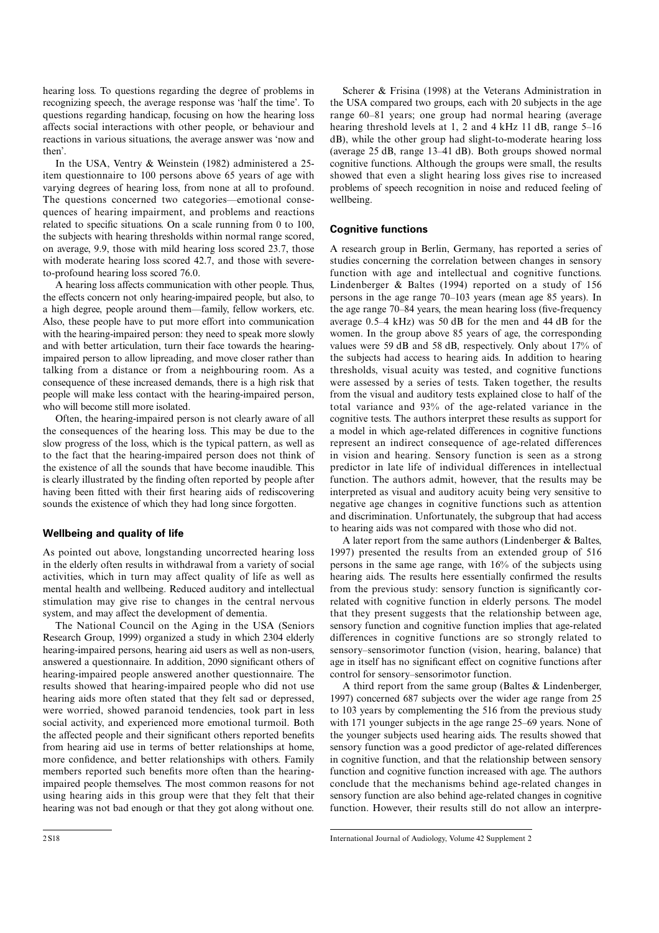hearing loss. To questions regarding the degree of problems in recognizing speech, the average response was 'half the time'. To questions regarding handicap, focusing on how the hearing loss affects social interactions with other people, or behaviour and reactions in various situations, the average answer was 'now and then'.

In the USA, Ventry & Weinstein (1982) administered a 25 item questionnaire to 100 persons above 65 years of age with varying degrees of hearing loss, from none at all to profound. The questions concerned two categories—emotional consequences of hearing impairment, and problems and reactions related to specific situations. On a scale running from 0 to 100, the subjects with hearing thresholds within normal range scored, on average, 9.9, those with mild hearing loss scored 23.7, those with moderate hearing loss scored 42.7, and those with severeto-profound hearing loss scored 76.0.

A hearing loss affects communication with other people. Thus, the effects concern not only hearing-impaired people, but also, to a high degree, people around them—family, fellow workers, etc. Also, these people have to put more effort into communication with the hearing-impaired person: they need to speak more slowly and with better articulation, turn their face towards the hearingimpaired person to allow lipreading, and move closer rather than talking from a distance or from a neighbouring room. As a consequence of these increased demands, there is a high risk that people will make less contact with the hearing-impaired person, who will become still more isolated.

Often, the hearing-impaired person is not clearly aware of all the consequences of the hearing loss. This may be due to the slow progress of the loss, which is the typical pattern, as well as to the fact that the hearing-impaired person does not think of the existence of all the sounds that have become inaudible. This is clearly illustrated by the finding often reported by people after having been fitted with their first hearing aids of rediscovering sounds the existence of which they had long since forgotten.

#### **Wellbeing and quality of life**

As pointed out above, longstanding uncorrected hearing loss in the elderly often results in withdrawal from a variety of social activities, which in turn may affect quality of life as well as mental health and wellbeing. Reduced auditory and intellectual stimulation may give rise to changes in the central nervous system, and may affect the development of dementia.

The National Council on the Aging in the USA (Seniors Research Group, 1999) organized a study in which 2304 elderly hearing-impaired persons, hearing aid users as well as non-users, answered a questionnaire. In addition, 2090 significant others of hearing-impaired people answered another questionnaire. The results showed that hearing-impaired people who did not use hearing aids more often stated that they felt sad or depressed, were worried, showed paranoid tendencies, took part in less social activity, and experienced more emotional turmoil. Both the affected people and their significant others reported benefits from hearing aid use in terms of better relationships at home, more confidence, and better relationships with others. Family members reported such benefits more often than the hearingimpaired people themselves. The most common reasons for not using hearing aids in this group were that they felt that their hearing was not bad enough or that they got along without one.

Scherer & Frisina (1998) at the Veterans Administration in the USA compared two groups, each with 20 subjects in the age range 60–81 years; one group had normal hearing (average hearing threshold levels at 1, 2 and 4 kHz 11 dB, range 5–16 dB), while the other group had slight-to-moderate hearing loss (average 25 dB, range 13–41 dB). Both groups showed normal cognitive functions. Although the groups were small, the results showed that even a slight hearing loss gives rise to increased problems of speech recognition in noise and reduced feeling of wellbeing.

#### **Cognitive functions**

A research group in Berlin, Germany, has reported a series of studies concerning the correlation between changes in sensory function with age and intellectual and cognitive functions. Lindenberger & Baltes (1994) reported on a study of 156 persons in the age range 70–103 years (mean age 85 years). In the age range 70–84 years, the mean hearing loss (five-frequency average 0.5–4 kHz) was 50 dB for the men and 44 dB for the women. In the group above 85 years of age, the corresponding values were 59 dB and 58 dB, respectively. Only about 17% of the subjects had access to hearing aids. In addition to hearing thresholds, visual acuity was tested, and cognitive functions were assessed by a series of tests. Taken together, the results from the visual and auditory tests explained close to half of the total variance and 93% of the age-related variance in the cognitive tests. The authors interpret these results as support for a model in which age-related differences in cognitive functions represent an indirect consequence of age-related differences in vision and hearing. Sensory function is seen as a strong predictor in late life of individual differences in intellectual function. The authors admit, however, that the results may be interpreted as visual and auditory acuity being very sensitive to negative age changes in cognitive functions such as attention and discrimination. Unfortunately, the subgroup that had access to hearing aids was not compared with those who did not.

A later report from the same authors (Lindenberger & Baltes, 1997) presented the results from an extended group of 516 persons in the same age range, with 16% of the subjects using hearing aids. The results here essentially confirmed the results from the previous study: sensory function is significantly correlated with cognitive function in elderly persons. The model that they present suggests that the relationship between age, sensory function and cognitive function implies that age-related differences in cognitive functions are so strongly related to sensory–sensorimotor function (vision, hearing, balance) that age in itself has no significant effect on cognitive functions after control for sensory–sensorimotor function.

A third report from the same group (Baltes & Lindenberger, 1997) concerned 687 subjects over the wider age range from 25 to 103 years by complementing the 516 from the previous study with 171 younger subjects in the age range 25–69 years. None of the younger subjects used hearing aids. The results showed that sensory function was a good predictor of age-related differences in cognitive function, and that the relationship between sensory function and cognitive function increased with age. The authors conclude that the mechanisms behind age-related changes in sensory function are also behind age-related changes in cognitive function. However, their results still do not allow an interpre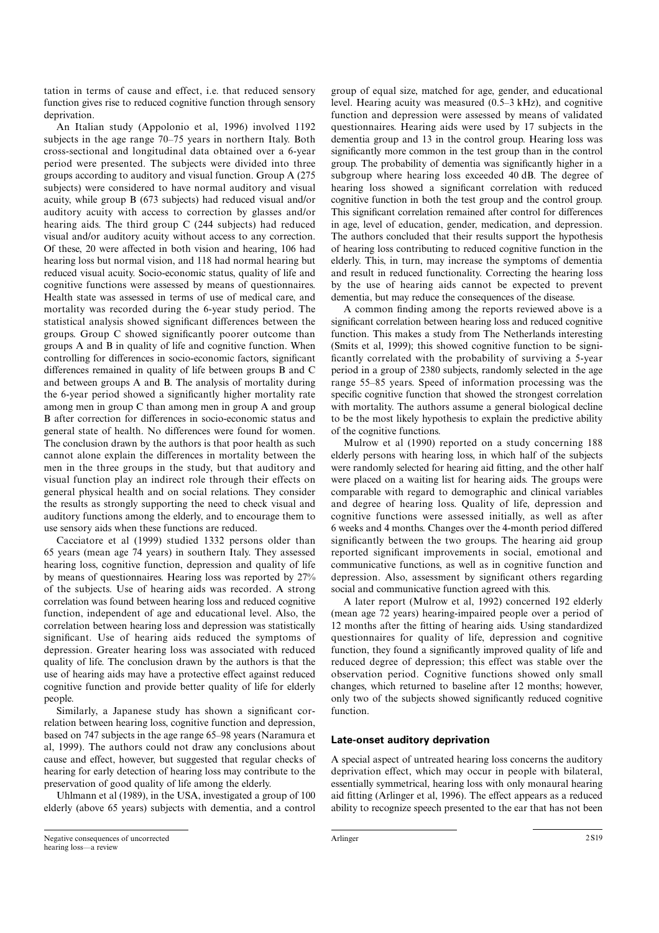tation in terms of cause and effect, i.e. that reduced sensory function gives rise to reduced cognitive function through sensory deprivation.

An Italian study (Appolonio et al, 1996) involved 1192 subjects in the age range 70–75 years in northern Italy. Both cross-sectional and longitudinal data obtained over a 6-year period were presented. The subjects were divided into three groups according to auditory and visual function. Group A (275 subjects) were considered to have normal auditory and visual acuity, while group B (673 subjects) had reduced visual and/or auditory acuity with access to correction by glasses and/or hearing aids. The third group C (244 subjects) had reduced visual and/or auditory acuity without access to any correction. Of these, 20 were affected in both vision and hearing, 106 had hearing loss but normal vision, and 118 had normal hearing but reduced visual acuity. Socio-economic status, quality of life and cognitive functions were assessed by means of questionnaires. Health state was assessed in terms of use of medical care, and mortality was recorded during the 6-year study period. The statistical analysis showed significant differences between the groups. Group C showed significantly poorer outcome than groups A and B in quality of life and cognitive function. When controlling for differences in socio-economic factors, significant differences remained in quality of life between groups B and C and between groups A and B. The analysis of mortality during the 6-year period showed a significantly higher mortality rate among men in group C than among men in group A and group B after correction for differences in socio-economic status and general state of health. No differences were found for women. The conclusion drawn by the authors is that poor health as such cannot alone explain the differences in mortality between the men in the three groups in the study, but that auditory and visual function play an indirect role through their effects on general physical health and on social relations. They consider the results as strongly supporting the need to check visual and auditory functions among the elderly, and to encourage them to use sensory aids when these functions are reduced.

Cacciatore et al (1999) studied 1332 persons older than 65 years (mean age 74 years) in southern Italy. They assessed hearing loss, cognitive function, depression and quality of life by means of questionnaires. Hearing loss was reported by 27% of the subjects. Use of hearing aids was recorded. A strong correlation was found between hearing loss and reduced cognitive function, independent of age and educational level. Also, the correlation between hearing loss and depression was statistically significant. Use of hearing aids reduced the symptoms of depression. Greater hearing loss was associated with reduced quality of life. The conclusion drawn by the authors is that the use of hearing aids may have a protective effect against reduced cognitive function and provide better quality of life for elderly people.

Similarly, a Japanese study has shown a significant correlation between hearing loss, cognitive function and depression, based on 747 subjects in the age range 65–98 years (Naramura et al, 1999). The authors could not draw any conclusions about cause and effect, however, but suggested that regular checks of hearing for early detection of hearing loss may contribute to the preservation of good quality of life among the elderly.

Uhlmann et al (1989), in the USA, investigated a group of 100 elderly (above 65 years) subjects with dementia, and a control

significantly more common in the test group than in the control group. The probability of dementia was significantly higher in a subgroup where hearing loss exceeded 40 dB. The degree of hearing loss showed a significant correlation with reduced cognitive function in both the test group and the control group. This significant correlation remained after control for differences in age, level of education, gender, medication, and depression. The authors concluded that their results support the hypothesis of hearing loss contributing to reduced cognitive function in the elderly. This, in turn, may increase the symptoms of dementia and result in reduced functionality. Correcting the hearing loss by the use of hearing aids cannot be expected to prevent dementia, but may reduce the consequences of the disease. A common finding among the reports reviewed above is a significant correlation between hearing loss and reduced cognitive function. This makes a study from The Netherlands interesting (Smits et al, 1999); this showed cognitive function to be significantly correlated with the probability of surviving a 5-year

group of equal size, matched for age, gender, and educational level. Hearing acuity was measured (0.5–3 kHz), and cognitive function and depression were assessed by means of validated questionnaires. Hearing aids were used by 17 subjects in the dementia group and 13 in the control group. Hearing loss was

period in a group of 2380 subjects, randomly selected in the age range 55–85 years. Speed of information processing was the specific cognitive function that showed the strongest correlation with mortality. The authors assume a general biological decline to be the most likely hypothesis to explain the predictive ability of the cognitive functions.

Mulrow et al (1990) reported on a study concerning 188 elderly persons with hearing loss, in which half of the subjects were randomly selected for hearing aid fitting, and the other half were placed on a waiting list for hearing aids. The groups were comparable with regard to demographic and clinical variables and degree of hearing loss. Quality of life, depression and cognitive functions were assessed initially, as well as after 6 weeks and 4 months. Changes over the 4-month period differed significantly between the two groups. The hearing aid group reported significant improvements in social, emotional and communicative functions, as well as in cognitive function and depression. Also, assessment by significant others regarding social and communicative function agreed with this.

A later report (Mulrow et al, 1992) concerned 192 elderly (mean age 72 years) hearing-impaired people over a period of 12 months after the fitting of hearing aids. Using standardized questionnaires for quality of life, depression and cognitive function, they found a significantly improved quality of life and reduced degree of depression; this effect was stable over the observation period. Cognitive functions showed only small changes, which returned to baseline after 12 months; however, only two of the subjects showed significantly reduced cognitive function.

### **Late-onset auditory deprivation**

A special aspect of untreated hearing loss concerns the auditory deprivation effect, which may occur in people with bilateral, essentially symmetrical, hearing loss with only monaural hearing aid fitting (Arlinger et al, 1996). The effect appears as a reduced ability to recognize speech presented to the ear that has not been